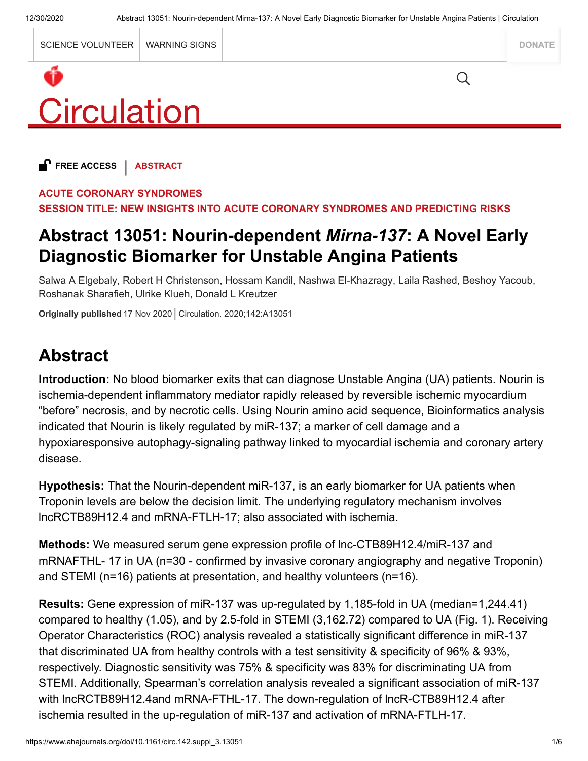|             | SCIENCE VOLUNTEER   WARNING SIGNS |  |  | <b>DONATE</b> |
|-------------|-----------------------------------|--|--|---------------|
|             |                                   |  |  |               |
| Circulation |                                   |  |  |               |

**FREE ACCESS** | **ABSTRACT**

#### **ACUTE CORONARY SYNDROMES**

**SESSION TITLE: NEW INSIGHTS INTO ACUTE CORONARY SYNDROMES AND PREDICTING RISKS**

## **Abstract 13051: Nourin-dependent** *Mirna-137***: A Novel Early Diagnostic Biomarker for Unstable Angina Patients**

Salwa A Elgebaly, Robert H Christenson, Hossam Kandil, Nashwa El-Khazragy, Laila Rashed, Beshoy Yacoub, Roshanak Sharafieh, Ulrike Klueh, Donald L Kreutzer

## **Abstract**

**Introduction:** No blood biomarker exits that can diagnose Unstable Angina (UA) patients. Nourin is ischemia-dependent inflammatory mediator rapidly released by reversible ischemic myocardium "before" necrosis, and by necrotic cells. Using Nourin amino acid sequence, Bioinformatics analysis indicated that Nourin is likely regulated by miR-137; a marker of cell damage and a hypoxiaresponsive autophagy-signaling pathway linked to myocardial ischemia and coronary artery disease.

**Hypothesis:** That the Nourin-dependent miR-137, is an early biomarker for UA patients when Troponin levels are below the decision limit. The underlying regulatory mechanism involves lncRCTB89H12.4 and mRNA-FTLH-17; also associated with ischemia.

**Methods:** We measured serum gene expression profile of lnc-CTB89H12.4/miR-137 and mRNAFTHL- 17 in UA (n=30 - confirmed by invasive coronary angiography and negative Troponin) and STEMI (n=16) patients at presentation, and healthy volunteers (n=16).

**Results:** Gene expression of miR-137 was up-regulated by 1,185-fold in UA (median=1,244.41) compared to healthy (1.05), and by 2.5-fold in STEMI (3,162.72) compared to UA (Fig. 1). Receiving Operator Characteristics (ROC) analysis revealed a statistically significant difference in miR-137 that discriminated UA from healthy controls with a test sensitivity & specificity of 96% & 93%, respectively. Diagnostic sensitivity was 75% & specificity was 83% for discriminating UA from STEMI. Additionally, Spearman's correlation analysis revealed a significant association of miR-137 with lncRCTB89H12.4and mRNA-FTHL-17. The down-regulation of lncR-CTB89H12.4 after Originally published 17 Nov 2020 Circulation. 2020;142:A13051<br> **Abstract**<br>
Introduction: No blood biomarker exits that can diagnose Unstable Angina (UA) pai<br>
ischemia-dependent inflammatory mediator rapidly released by rev